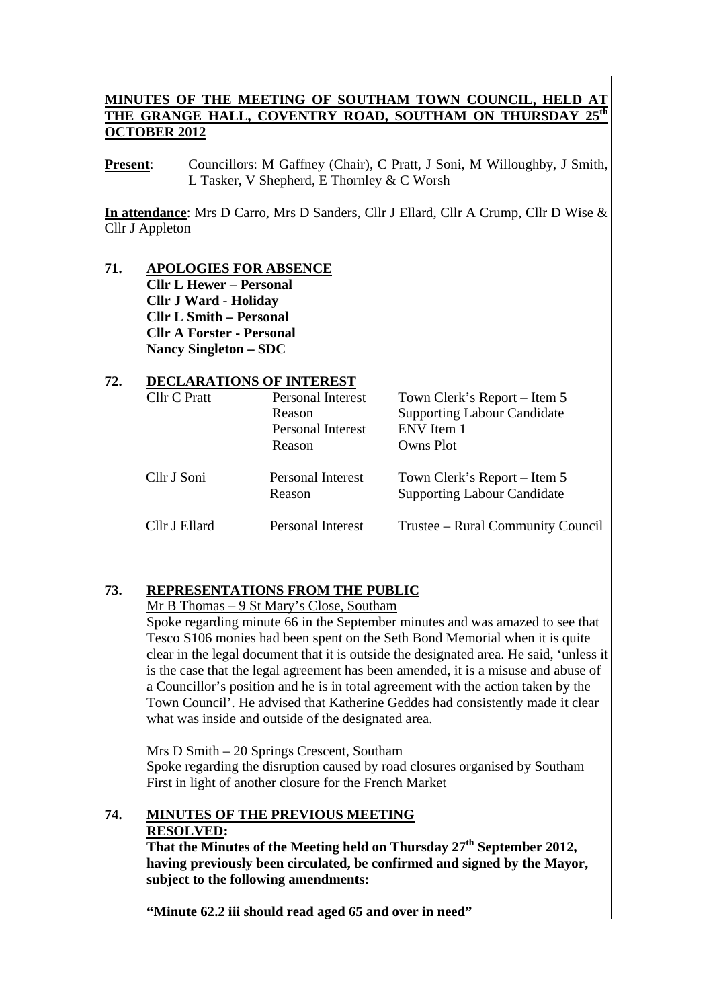# **MINUTES OF THE MEETING OF SOUTHAM TOWN COUNCIL, HELD AT**  THE GRANGE HALL, COVENTRY ROAD, SOUTHAM ON THURSDAY **OCTOBER 2012**

**Present**: Councillors: M Gaffney (Chair), C Pratt, J Soni, M Willoughby, J Smith, L Tasker, V Shepherd, E Thornley & C Worsh

**In attendance**: Mrs D Carro, Mrs D Sanders, Cllr J Ellard, Cllr A Crump, Cllr D Wise & Cllr J Appleton

### **71. APOLOGIES FOR ABSENCE Cllr L Hewer – Personal Cllr J Ward - Holiday Cllr L Smith – Personal Cllr A Forster - Personal Nancy Singleton – SDC**

### **72. DECLARATIONS OF INTEREST**

| Cllr C Pratt  | <b>Personal Interest</b><br>Reason<br><b>Personal Interest</b><br>Reason | Town Clerk's Report – Item 5<br><b>Supporting Labour Candidate</b><br>ENV Item 1<br>Owns Plot |  |
|---------------|--------------------------------------------------------------------------|-----------------------------------------------------------------------------------------------|--|
| Cllr J Soni   | <b>Personal Interest</b><br>Reason                                       | Town Clerk's Report – Item 5<br><b>Supporting Labour Candidate</b>                            |  |
| Cllr J Ellard | Personal Interest                                                        | Trustee – Rural Community Council                                                             |  |

# **73. REPRESENTATIONS FROM THE PUBLIC**

#### Mr B Thomas – 9 St Mary's Close, Southam

Spoke regarding minute 66 in the September minutes and was amazed to see that Tesco S106 monies had been spent on the Seth Bond Memorial when it is quite clear in the legal document that it is outside the designated area. He said, 'unless it is the case that the legal agreement has been amended, it is a misuse and abuse of a Councillor's position and he is in total agreement with the action taken by the Town Council'. He advised that Katherine Geddes had consistently made it clear what was inside and outside of the designated area.

Mrs D Smith – 20 Springs Crescent, Southam

Spoke regarding the disruption caused by road closures organised by Southam First in light of another closure for the French Market

# **74. MINUTES OF THE PREVIOUS MEETING RESOLVED:**

**That the Minutes of the Meeting held on Thursday 27th September 2012, having previously been circulated, be confirmed and signed by the Mayor, subject to the following amendments:** 

**"Minute 62.2 iii should read aged 65 and over in need"**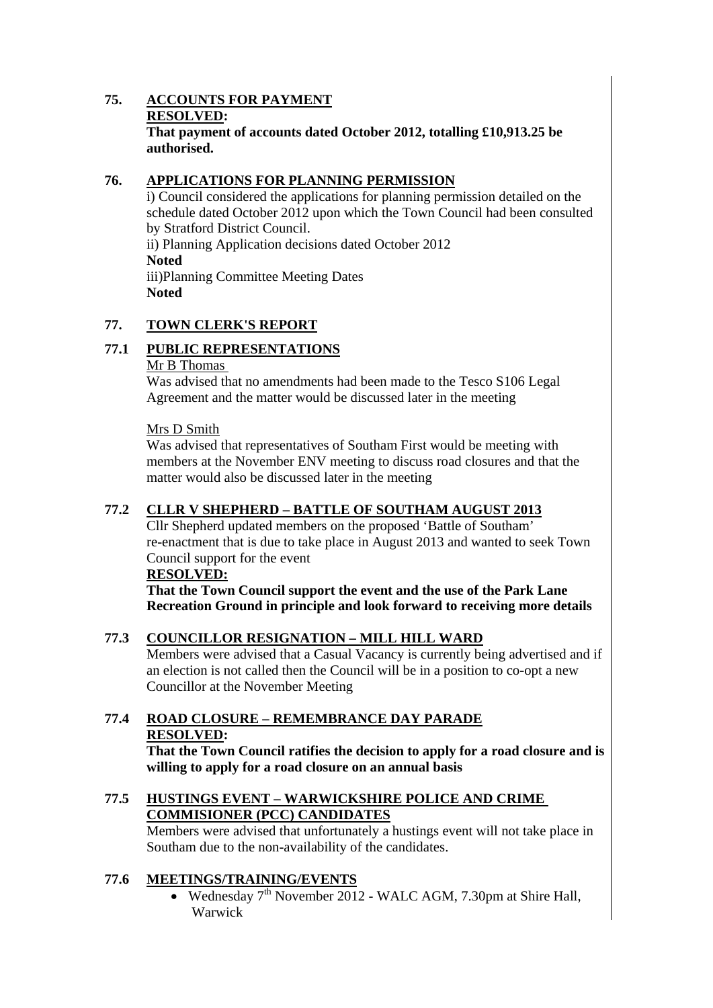#### **75. ACCOUNTS FOR PAYMENT RESOLVED: That payment of accounts dated October 2012, totalling £10,913.25 be authorised.**

# **76. APPLICATIONS FOR PLANNING PERMISSION**

i) Council considered the applications for planning permission detailed on the schedule dated October 2012 upon which the Town Council had been consulted by Stratford District Council. ii) Planning Application decisions dated October 2012 **Noted**  iii)Planning Committee Meeting Dates

**Noted** 

# **77. TOWN CLERK'S REPORT**

# **77.1 PUBLIC REPRESENTATIONS**

#### Mr B Thomas

Was advised that no amendments had been made to the Tesco S106 Legal Agreement and the matter would be discussed later in the meeting

#### Mrs D Smith

Was advised that representatives of Southam First would be meeting with members at the November ENV meeting to discuss road closures and that the matter would also be discussed later in the meeting

# **77.2 CLLR V SHEPHERD – BATTLE OF SOUTHAM AUGUST 2013**

Cllr Shepherd updated members on the proposed 'Battle of Southam' re-enactment that is due to take place in August 2013 and wanted to seek Town Council support for the event

#### **RESOLVED:**

**That the Town Council support the event and the use of the Park Lane Recreation Ground in principle and look forward to receiving more details** 

#### **77.3 COUNCILLOR RESIGNATION – MILL HILL WARD**

Members were advised that a Casual Vacancy is currently being advertised and if an election is not called then the Council will be in a position to co-opt a new Councillor at the November Meeting

# **77.4 ROAD CLOSURE – REMEMBRANCE DAY PARADE RESOLVED:**

**That the Town Council ratifies the decision to apply for a road closure and is willing to apply for a road closure on an annual basis** 

### **77.5 HUSTINGS EVENT – WARWICKSHIRE POLICE AND CRIME COMMISIONER (PCC) CANDIDATES**

Members were advised that unfortunately a hustings event will not take place in Southam due to the non-availability of the candidates.

#### **77.6 MEETINGS/TRAINING/EVENTS**

• Wednesday 7<sup>th</sup> November 2012 - WALC AGM, 7.30pm at Shire Hall, Warwick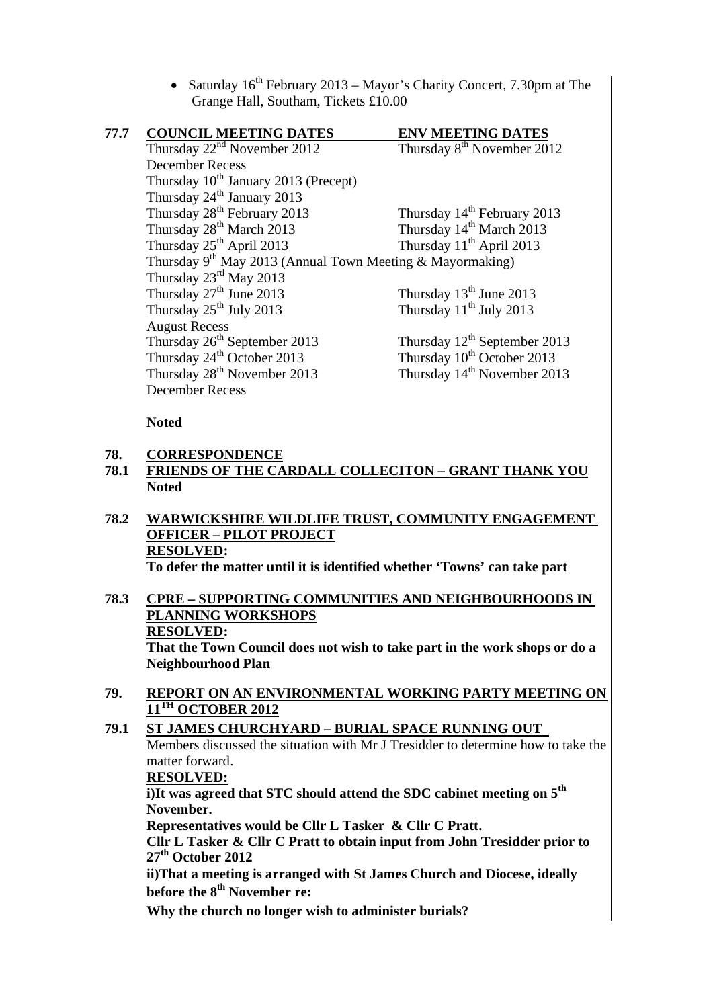• Saturday  $16^{th}$  February 2013 – Mayor's Charity Concert, 7.30pm at The Grange Hall, Southam, Tickets £10.00

| 77.7 | <b>COUNCIL MEETING DATES</b>                                   | <b>ENV MEETING DATES</b>                 |  |  |  |  |
|------|----------------------------------------------------------------|------------------------------------------|--|--|--|--|
|      | Thursday $22nd$ November 2012                                  | Thursday 8 <sup>th</sup> November 2012   |  |  |  |  |
|      | <b>December Recess</b>                                         |                                          |  |  |  |  |
|      | Thursday 10 <sup>th</sup> January 2013 (Precept)               |                                          |  |  |  |  |
|      | Thursday 24 <sup>th</sup> January 2013                         |                                          |  |  |  |  |
|      | Thursday 28 <sup>th</sup> February 2013                        | Thursday 14 <sup>th</sup> February 2013  |  |  |  |  |
|      | Thursday 28 <sup>th</sup> March 2013                           | Thursday 14 <sup>th</sup> March 2013     |  |  |  |  |
|      | Thursday 25 <sup>th</sup> April 2013                           | Thursday 11 <sup>th</sup> April 2013     |  |  |  |  |
|      | Thursday $9^{th}$ May 2013 (Annual Town Meeting & Mayormaking) |                                          |  |  |  |  |
|      | Thursday $23^{\text{rd}}$ May 2013                             |                                          |  |  |  |  |
|      | Thursday 27 <sup>th</sup> June 2013                            | Thursday 13 <sup>th</sup> June 2013      |  |  |  |  |
|      | Thursday $25^{th}$ July 2013                                   | Thursday $11th$ July 2013                |  |  |  |  |
|      | <b>August Recess</b>                                           |                                          |  |  |  |  |
|      | Thursday 26 <sup>th</sup> September 2013                       | Thursday 12 <sup>th</sup> September 2013 |  |  |  |  |
|      | Thursday 24 <sup>th</sup> October 2013                         | Thursday 10 <sup>th</sup> October 2013   |  |  |  |  |
|      | Thursday 28 <sup>th</sup> November 2013                        | Thursday 14 <sup>th</sup> November 2013  |  |  |  |  |
|      | <b>December Recess</b>                                         |                                          |  |  |  |  |

**Noted** 

#### **78. CORRESPONDENCE**

**78.1 FRIENDS OF THE CARDALL COLLECITON – GRANT THANK YOU Noted** 

# **78.2 WARWICKSHIRE WILDLIFE TRUST, COMMUNITY ENGAGEMENT OFFICER – PILOT PROJECT RESOLVED:**

 **To defer the matter until it is identified whether 'Towns' can take part** 

### **78.3 CPRE – SUPPORTING COMMUNITIES AND NEIGHBOURHOODS IN PLANNING WORKSHOPS RESOLVED: That the Town Council does not wish to take part in the work shops or do a Neighbourhood Plan**

**79. REPORT ON AN ENVIRONMENTAL WORKING PARTY MEETING ON 11TH OCTOBER 2012**

# **79.1 ST JAMES CHURCHYARD – BURIAL SPACE RUNNING OUT**  Members discussed the situation with Mr J Tresidder to determine how to take the matter forward. **RESOLVED: i)It was agreed that STC should attend the SDC cabinet meeting on 5th November. Representatives would be Cllr L Tasker & Cllr C Pratt. Cllr L Tasker & Cllr C Pratt to obtain input from John Tresidder prior to 27th October 2012**

**ii)That a meeting is arranged with St James Church and Diocese, ideally before the 8th November re:** 

**Why the church no longer wish to administer burials?**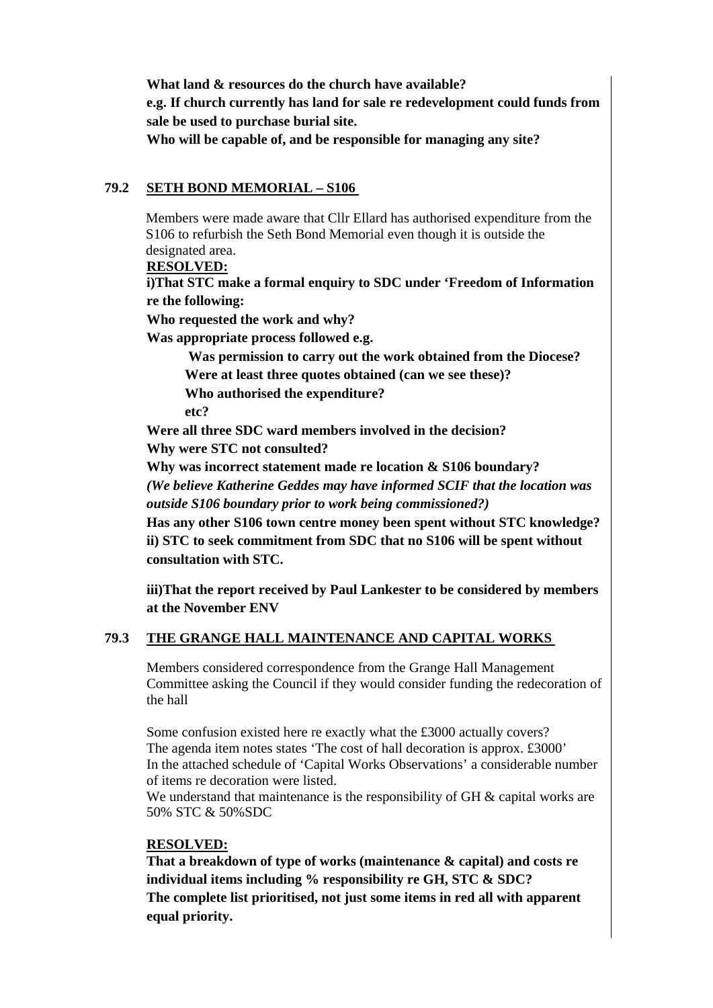**What land & resources do the church have available? e.g. If church currently has land for sale re redevelopment could funds from sale be used to purchase burial site. Who will be capable of, and be responsible for managing any site?** 

#### **79.2 SETH BOND MEMORIAL – S106**

Members were made aware that Cllr Ellard has authorised expenditure from the S106 to refurbish the Seth Bond Memorial even though it is outside the designated area.

#### **RESOLVED:**

**i)That STC make a formal enquiry to SDC under 'Freedom of Information re the following:** 

**Who requested the work and why?** 

**Was appropriate process followed e.g.** 

 **Was permission to carry out the work obtained from the Diocese? Were at least three quotes obtained (can we see these)? Who authorised the expenditure?** 

 **etc?** 

**Were all three SDC ward members involved in the decision?** 

**Why were STC not consulted?** 

**Why was incorrect statement made re location & S106 boundary?**  *(We believe Katherine Geddes may have informed SCIF that the location was outside S106 boundary prior to work being commissioned?)*

**Has any other S106 town centre money been spent without STC knowledge? ii) STC to seek commitment from SDC that no S106 will be spent without consultation with STC.** 

**iii)That the report received by Paul Lankester to be considered by members at the November ENV** 

#### **79.3 THE GRANGE HALL MAINTENANCE AND CAPITAL WORKS**

Members considered correspondence from the Grange Hall Management Committee asking the Council if they would consider funding the redecoration of the hall

Some confusion existed here re exactly what the £3000 actually covers? The agenda item notes states 'The cost of hall decoration is approx. £3000' In the attached schedule of 'Capital Works Observations' a considerable number of items re decoration were listed.

We understand that maintenance is the responsibility of  $GH \&$  capital works are 50% STC & 50%SDC

#### **RESOLVED:**

**That a breakdown of type of works (maintenance & capital) and costs re individual items including % responsibility re GH, STC & SDC? The complete list prioritised, not just some items in red all with apparent equal priority.**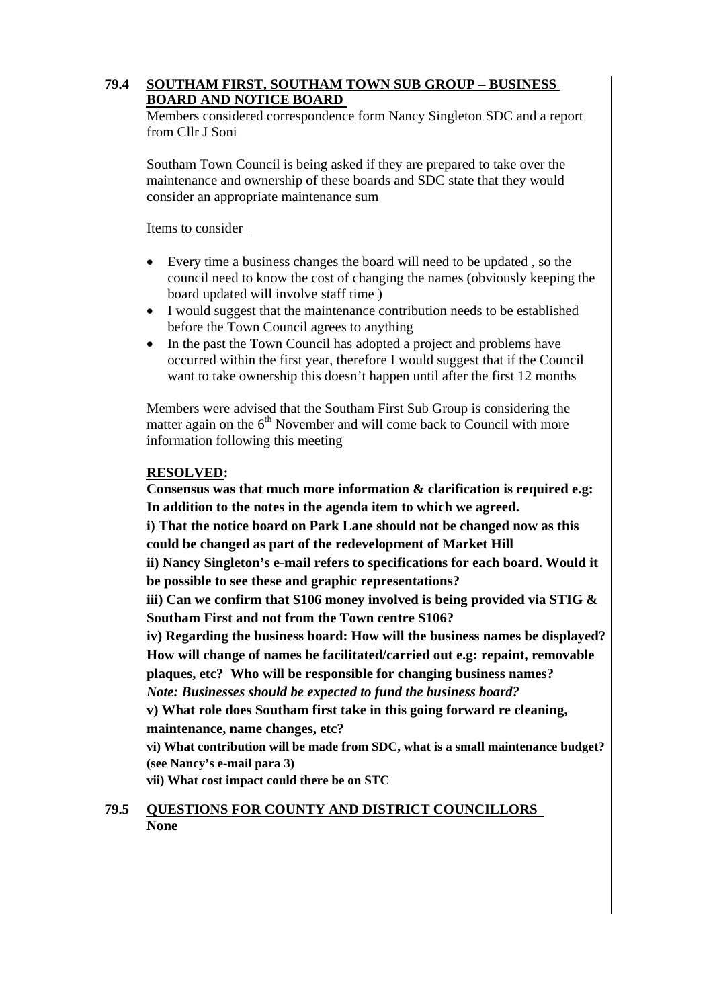### **79.4 SOUTHAM FIRST, SOUTHAM TOWN SUB GROUP – BUSINESS BOARD AND NOTICE BOARD**

Members considered correspondence form Nancy Singleton SDC and a report from Cllr I Soni

Southam Town Council is being asked if they are prepared to take over the maintenance and ownership of these boards and SDC state that they would consider an appropriate maintenance sum

Items to consider

- Every time a business changes the board will need to be updated , so the council need to know the cost of changing the names (obviously keeping the board updated will involve staff time )
- I would suggest that the maintenance contribution needs to be established before the Town Council agrees to anything
- In the past the Town Council has adopted a project and problems have occurred within the first year, therefore I would suggest that if the Council want to take ownership this doesn't happen until after the first 12 months

Members were advised that the Southam First Sub Group is considering the matter again on the  $6<sup>th</sup>$  November and will come back to Council with more information following this meeting

### **RESOLVED:**

**Consensus was that much more information & clarification is required e.g: In addition to the notes in the agenda item to which we agreed.** 

**i) That the notice board on Park Lane should not be changed now as this could be changed as part of the redevelopment of Market Hill** 

**ii) Nancy Singleton's e-mail refers to specifications for each board. Would it be possible to see these and graphic representations?** 

**iii) Can we confirm that S106 money involved is being provided via STIG & Southam First and not from the Town centre S106?** 

**iv) Regarding the business board: How will the business names be displayed? How will change of names be facilitated/carried out e.g: repaint, removable plaques, etc? Who will be responsible for changing business names?** 

*Note: Businesses should be expected to fund the business board?* 

**v) What role does Southam first take in this going forward re cleaning, maintenance, name changes, etc?** 

**vi) What contribution will be made from SDC, what is a small maintenance budget? (see Nancy's e-mail para 3)** 

**vii) What cost impact could there be on STC** 

#### **79.5 QUESTIONS FOR COUNTY AND DISTRICT COUNCILLORS None**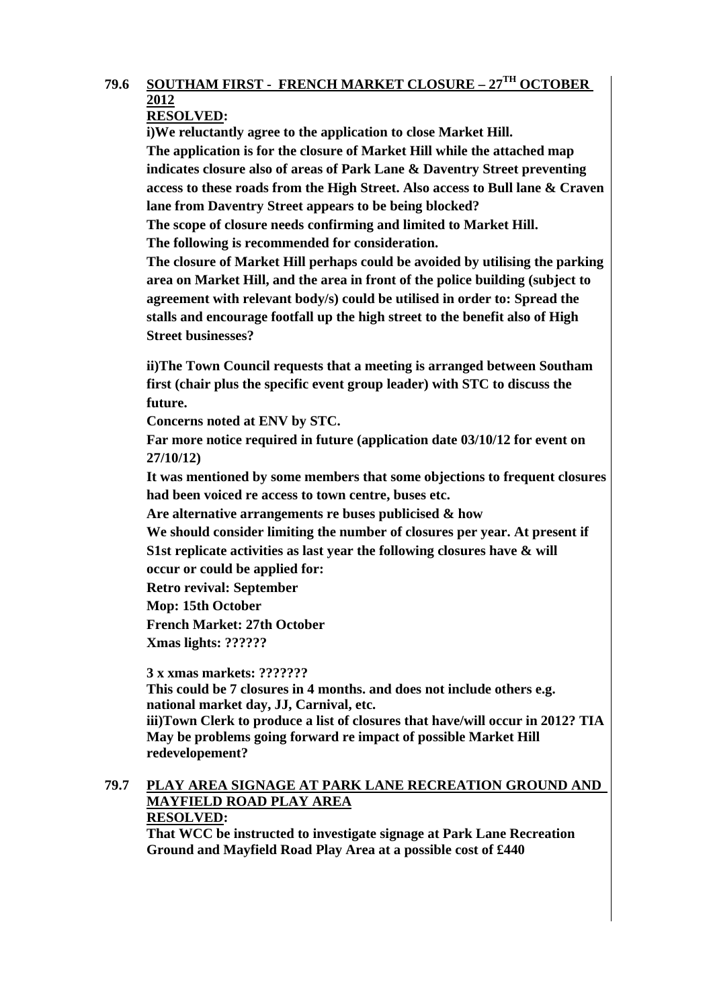# **79.6 SOUTHAM FIRST - FRENCH MARKET CLOSURE – 27TH OCTOBER 2012**

# **RESOLVED:**

**i)We reluctantly agree to the application to close Market Hill. The application is for the closure of Market Hill while the attached map indicates closure also of areas of Park Lane & Daventry Street preventing access to these roads from the High Street. Also access to Bull lane & Craven lane from Daventry Street appears to be being blocked?** 

**The scope of closure needs confirming and limited to Market Hill. The following is recommended for consideration.** 

**The closure of Market Hill perhaps could be avoided by utilising the parking area on Market Hill, and the area in front of the police building (subject to agreement with relevant body/s) could be utilised in order to: Spread the stalls and encourage footfall up the high street to the benefit also of High Street businesses?** 

**ii)The Town Council requests that a meeting is arranged between Southam first (chair plus the specific event group leader) with STC to discuss the future.** 

**Concerns noted at ENV by STC.** 

**Far more notice required in future (application date 03/10/12 for event on 27/10/12)** 

**It was mentioned by some members that some objections to frequent closures had been voiced re access to town centre, buses etc.** 

**Are alternative arrangements re buses publicised & how** 

**We should consider limiting the number of closures per year. At present if S1st replicate activities as last year the following closures have & will** 

**occur or could be applied for:** 

**Retro revival: September** 

**Mop: 15th October** 

**French Market: 27th October** 

**Xmas lights: ??????** 

**3 x xmas markets: ???????** 

**This could be 7 closures in 4 months. and does not include others e.g. national market day, JJ, Carnival, etc. iii)Town Clerk to produce a list of closures that have/will occur in 2012? TIA** 

**May be problems going forward re impact of possible Market Hill redevelopement?** 

#### **79.7 PLAY AREA SIGNAGE AT PARK LANE RECREATION GROUND AND MAYFIELD ROAD PLAY AREA RESOLVED:**

**That WCC be instructed to investigate signage at Park Lane Recreation Ground and Mayfield Road Play Area at a possible cost of £440**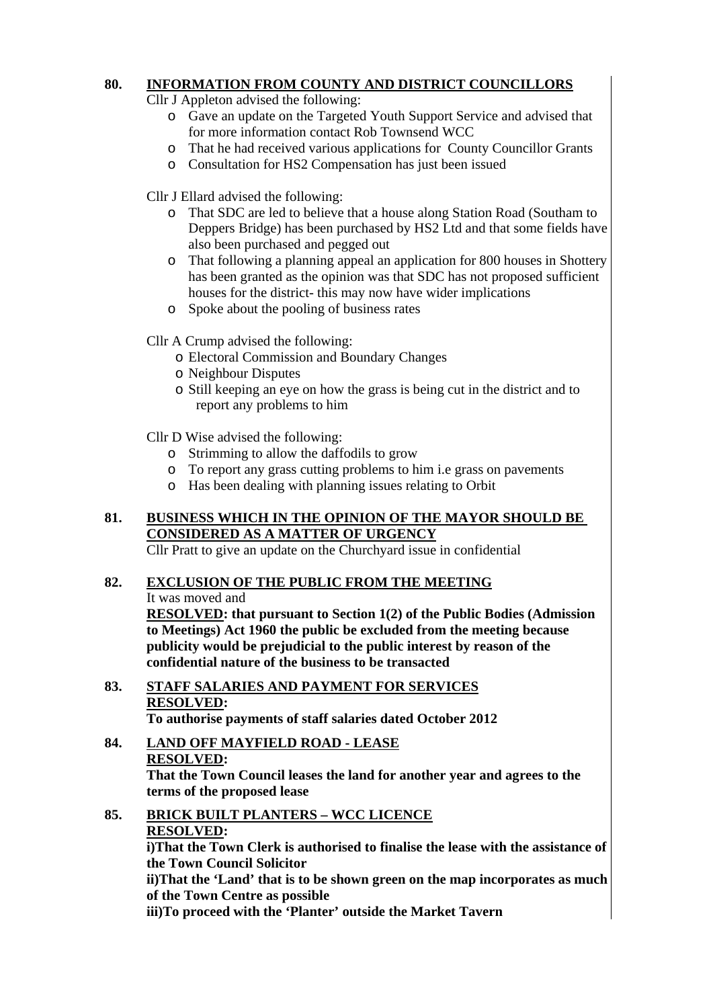# **80. INFORMATION FROM COUNTY AND DISTRICT COUNCILLORS**

Cllr J Appleton advised the following:

- o Gave an update on the Targeted Youth Support Service and advised that for more information contact Rob Townsend WCC
- o That he had received various applications for County Councillor Grants
- o Consultation for HS2 Compensation has just been issued

Cllr J Ellard advised the following:

- o That SDC are led to believe that a house along Station Road (Southam to Deppers Bridge) has been purchased by HS2 Ltd and that some fields have also been purchased and pegged out
- o That following a planning appeal an application for 800 houses in Shottery has been granted as the opinion was that SDC has not proposed sufficient houses for the district- this may now have wider implications
- o Spoke about the pooling of business rates
- Cllr A Crump advised the following:
	- o Electoral Commission and Boundary Changes
	- o Neighbour Disputes
	- o Still keeping an eye on how the grass is being cut in the district and to report any problems to him

Cllr D Wise advised the following:

- o Strimming to allow the daffodils to grow
- o To report any grass cutting problems to him i.e grass on pavements
- o Has been dealing with planning issues relating to Orbit

# **81. BUSINESS WHICH IN THE OPINION OF THE MAYOR SHOULD BE CONSIDERED AS A MATTER OF URGENCY**

Cllr Pratt to give an update on the Churchyard issue in confidential

# **82. EXCLUSION OF THE PUBLIC FROM THE MEETING**

It was moved and

**RESOLVED: that pursuant to Section 1(2) of the Public Bodies (Admission to Meetings) Act 1960 the public be excluded from the meeting because publicity would be prejudicial to the public interest by reason of the confidential nature of the business to be transacted** 

**83. STAFF SALARIES AND PAYMENT FOR SERVICES RESOLVED:** 

**To authorise payments of staff salaries dated October 2012** 

# **84. LAND OFF MAYFIELD ROAD - LEASE RESOLVED:**

**That the Town Council leases the land for another year and agrees to the terms of the proposed lease** 

**85. BRICK BUILT PLANTERS – WCC LICENCE RESOLVED: i)That the Town Clerk is authorised to finalise the lease with the assistance of the Town Council Solicitor ii)That the 'Land' that is to be shown green on the map incorporates as much of the Town Centre as possible iii)To proceed with the 'Planter' outside the Market Tavern**